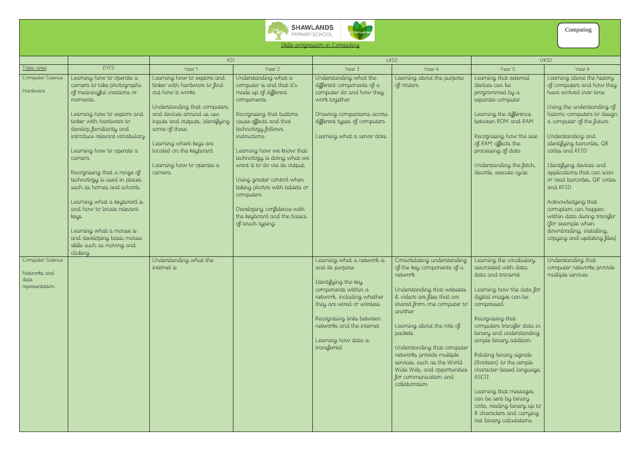



| Skills progression in Computing |  |  |
|---------------------------------|--|--|
|                                 |  |  |

|                                                            |                                                                                                                                                                                                                                                                                                                                                                                                                                                                                                                                   | KS1                                                                                                                                                                                                                                                                                           |                                                                                                                                                                                                                                                                                                                                                                                                                                              | LKS2                                                                                                                                                                                                                                                      |                                                                                                                                                                                                                                                                                                                                                                                           | UKS2                                                                                                                                                                                                                                                                                                                                                                                                                                                                                   |                                                                                                                                                                                                                                                                                                                                                                                                                                                                                                                  |
|------------------------------------------------------------|-----------------------------------------------------------------------------------------------------------------------------------------------------------------------------------------------------------------------------------------------------------------------------------------------------------------------------------------------------------------------------------------------------------------------------------------------------------------------------------------------------------------------------------|-----------------------------------------------------------------------------------------------------------------------------------------------------------------------------------------------------------------------------------------------------------------------------------------------|----------------------------------------------------------------------------------------------------------------------------------------------------------------------------------------------------------------------------------------------------------------------------------------------------------------------------------------------------------------------------------------------------------------------------------------------|-----------------------------------------------------------------------------------------------------------------------------------------------------------------------------------------------------------------------------------------------------------|-------------------------------------------------------------------------------------------------------------------------------------------------------------------------------------------------------------------------------------------------------------------------------------------------------------------------------------------------------------------------------------------|----------------------------------------------------------------------------------------------------------------------------------------------------------------------------------------------------------------------------------------------------------------------------------------------------------------------------------------------------------------------------------------------------------------------------------------------------------------------------------------|------------------------------------------------------------------------------------------------------------------------------------------------------------------------------------------------------------------------------------------------------------------------------------------------------------------------------------------------------------------------------------------------------------------------------------------------------------------------------------------------------------------|
| Topic area                                                 | <b>EYFS</b>                                                                                                                                                                                                                                                                                                                                                                                                                                                                                                                       | Year 1                                                                                                                                                                                                                                                                                        | Year 2                                                                                                                                                                                                                                                                                                                                                                                                                                       | Year 3                                                                                                                                                                                                                                                    | Year 4                                                                                                                                                                                                                                                                                                                                                                                    | Year 5                                                                                                                                                                                                                                                                                                                                                                                                                                                                                 | Year 6                                                                                                                                                                                                                                                                                                                                                                                                                                                                                                           |
| Computer Science<br>Hardware                               | Learning how to operate a<br>camera to take photographs<br>of meaningful creations or<br>moments<br>Learning how to explore and<br>tinker with hardware to<br>develop familiarity and<br>introduce relevant vocabulary<br>Learning how to operate a<br>camera<br>Recognising that a range of<br>technology is used in places<br>such as homes and schools<br>Learning what a keyboard is<br>and how to locate relevant<br>keys<br>Learning what a mouse is<br>and developing basic mouse<br>skills such as moving and<br>clicking | Learning how to explore and<br>tinker with hardware to find<br>out how it works<br>Understanding that computers<br>and devices around us use<br>inputs and outputs, identifying<br>some of these<br>Learning where keys are<br>located on the keyboard<br>Learning how to operate a<br>camera | Understanding what a<br>computer is and that it's<br>made up of different<br>components<br>Recognising that buttons<br>cause effects and that<br>technology follows<br>instructions<br>Learning how we know that<br>technology is doing what we<br>want it to do via its output.<br>Using greater control when<br>taking photos with tablets or<br>computers<br>Developing confidence with<br>the keyboard and the basics<br>of touch typing | Understanding what the<br>different components of a<br>computer do and how they<br>work together<br>Drawing comparisons across<br>different types of computers<br>Learning what a server does                                                             | Learning about the purpose<br>of routers                                                                                                                                                                                                                                                                                                                                                  | Learning that external<br>devices can be<br>programmed by a<br>separate computer<br>Learning the difference<br>between ROM and RAM<br>Recognising how the size<br>of RAM affects the<br>processing of data<br>Understanding the fetch,<br>decode, execute cycle                                                                                                                                                                                                                        | Learning about the history<br>of computers and how they<br>have evolved over time<br>Using the understanding of<br>historic computers to design<br>a computer of the future<br>Understanding and<br>identifying barcodes, QR<br>codes and RFID<br>I dentifying devices and<br>applications that can scan<br>or read barcodes, QR codes<br>and RFID<br>Acknowledging that<br>corruption can happen<br>within data during transfer<br>(for example when<br>downloading, installing,<br>copying and updating files) |
| Computer Science<br>Networks and<br>date<br>representation |                                                                                                                                                                                                                                                                                                                                                                                                                                                                                                                                   | Understanding what the<br>internet is                                                                                                                                                                                                                                                         |                                                                                                                                                                                                                                                                                                                                                                                                                                              | Learning what a network is<br>and its purpose<br>I dentifying the key<br>components within a<br>network, including whether<br>they are wired or wireless<br>Recognising links between<br>networks and the internet<br>Learning how data is<br>transferred | Consolidating understanding<br>of the key components of a<br>network<br>Understanding that websites<br>& videos are files that are<br>shared from one computer to<br>another<br>Learning about the role of<br>packets<br>Understanding that computer<br>networks provide multiple<br>services, such as the World<br>Wide Web, and opportunities<br>for communication and<br>collaboration | Learning the vocabulary<br>associated with data:<br>data and transmit<br>Learning how the data for<br>digital images can be<br>compressed<br>Recognising that<br>computers transfer data in<br>binary and understanding<br>simple binary addition<br>Relating binary signals<br>(Boolean) to the simple<br>character-based language,<br>ASCII<br>Learning that messages<br>can be sent by binary<br>code, reading binary up to<br>8 characters and carrying<br>out binary calculations | Understanding that<br>computer networks provide<br>multiple services                                                                                                                                                                                                                                                                                                                                                                                                                                             |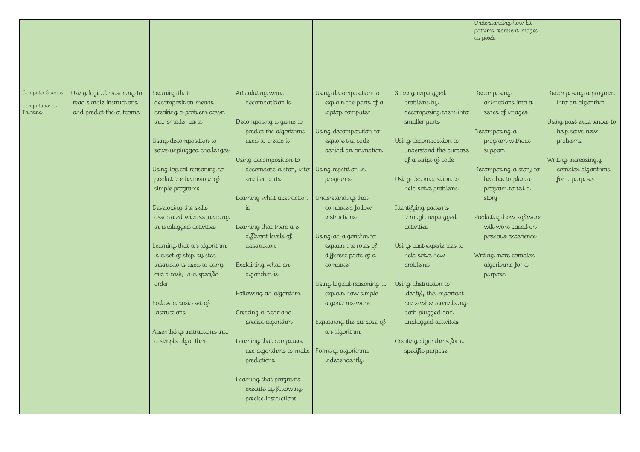|                           |                                                     |                                                |                                                 |                                                  |                                                | Understanding how bit<br>patterns represent images<br>as pixels |                                             |
|---------------------------|-----------------------------------------------------|------------------------------------------------|-------------------------------------------------|--------------------------------------------------|------------------------------------------------|-----------------------------------------------------------------|---------------------------------------------|
|                           |                                                     |                                                |                                                 |                                                  |                                                |                                                                 |                                             |
|                           |                                                     |                                                |                                                 |                                                  |                                                |                                                                 |                                             |
| Computer Science          | Using logical reasoning to                          | Learning that                                  | Articulating what                               | Using decomposition to                           | Solving unplugged                              | Decomposing                                                     | Decomposing a program                       |
| Computational<br>Thinking | read simple instructions<br>and predict the outcome | decomposition means<br>breaking a problem down | decomposition is                                | explain the parts of $a$<br>laptop computer      | problems by<br>decomposing them into           | animations into a<br>series of images                           | into an algorithm                           |
|                           |                                                     | into smaller parts                             | Decomposing a game to<br>predict the algorithms | Using decomposition to                           | smaller parts                                  | Decomposing a                                                   | Using past experiences to<br>help solve new |
|                           |                                                     | Using decomposition to                         | used to create it                               | explore the code                                 | Using decomposition to                         | program without                                                 | problems                                    |
|                           |                                                     | solve unplugged challenges                     |                                                 | behind an animation                              | understand the purpose                         | support                                                         |                                             |
|                           |                                                     |                                                | Using decomposition to                          |                                                  | of a script of code                            |                                                                 | Writing increasingly                        |
|                           |                                                     | Using logical reasoning to                     | decompose a story into                          | Using repetition in                              |                                                | Decomposing a story to                                          | complex algorithms                          |
|                           |                                                     | predict the behaviour of                       | smaller parts                                   | programs                                         | Using decomposition to                         | be able to plan a                                               | for a purpose                               |
|                           |                                                     | simple programs                                | Learning what abstraction                       | Understanding that                               | help solve problems                            | program to tell a<br>story                                      |                                             |
|                           |                                                     | Developing the skills                          | 15                                              | computers follow                                 | I dentifying patterns                          |                                                                 |                                             |
|                           |                                                     | associated with sequencing                     |                                                 | instructions                                     | through unplugged                              | Predicting how software                                         |                                             |
|                           |                                                     | in unplugged activities                        | Learning that there are                         |                                                  | activities                                     | will work based on                                              |                                             |
|                           |                                                     |                                                | different levels of                             | Using an algorithm to                            |                                                | previous experience                                             |                                             |
|                           |                                                     | Learning that an algorithm                     | abstraction                                     | explain the roles of                             | Using past experiences to                      |                                                                 |                                             |
|                           |                                                     | is a set of step by step                       |                                                 | different parts of a                             | help solve new                                 | Writing more complex                                            |                                             |
|                           |                                                     | instructions used to carry                     | Explaining what an                              | computer                                         | problems                                       | algorithms for a                                                |                                             |
|                           |                                                     | out a task, in a specific                      | algorithm is                                    |                                                  |                                                | purpose                                                         |                                             |
|                           |                                                     | order                                          | Following an algorithm                          | Using logical reasoning to<br>explain how simple | Using abstraction to<br>identify the important |                                                                 |                                             |
|                           |                                                     | Follow a basic set of                          |                                                 | algorithms work                                  | parts when completing                          |                                                                 |                                             |
|                           |                                                     | instructions                                   | Creating a clear and                            |                                                  | both plugged and                               |                                                                 |                                             |
|                           |                                                     |                                                | precise algorithm                               | Explaining the purpose of                        | unplugged activities                           |                                                                 |                                             |
|                           |                                                     | Assembling instructions into                   |                                                 | an algorithm                                     |                                                |                                                                 |                                             |
|                           |                                                     | a simple algorithm                             | Learning that computers                         |                                                  | Creating algorithms for a                      |                                                                 |                                             |
|                           |                                                     |                                                | use algorithms to make                          | Forming algorithms                               | specific purpose                               |                                                                 |                                             |
|                           |                                                     |                                                | predictions                                     | independently                                    |                                                |                                                                 |                                             |
|                           |                                                     |                                                | Learning that programs                          |                                                  |                                                |                                                                 |                                             |
|                           |                                                     |                                                | execute by following                            |                                                  |                                                |                                                                 |                                             |
|                           |                                                     |                                                | precise instructions                            |                                                  |                                                |                                                                 |                                             |
|                           |                                                     |                                                |                                                 |                                                  |                                                |                                                                 |                                             |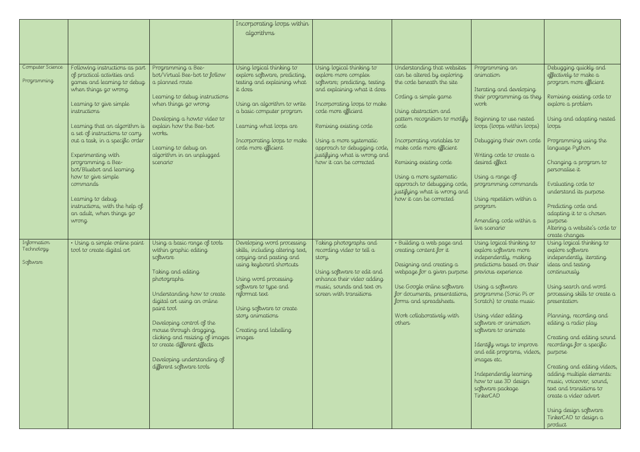|                                       |                                                                                                                                                                                                                                                                                                                                                                                                                                                                             |                                                                                                                                                                                                                                                                                                                                                                          | Incorporating loops within<br>algorithms                                                                                                                                                                                                                                    |                                                                                                                                                                                                                                                                                                                        |                                                                                                                                                                                                                                                                                                                                                                                            |                                                                                                                                                                                                                                                                                                                                                                                                                                                |                                                                                                                                                                                                                                                                                                                                                                                                                                                                                                                             |
|---------------------------------------|-----------------------------------------------------------------------------------------------------------------------------------------------------------------------------------------------------------------------------------------------------------------------------------------------------------------------------------------------------------------------------------------------------------------------------------------------------------------------------|--------------------------------------------------------------------------------------------------------------------------------------------------------------------------------------------------------------------------------------------------------------------------------------------------------------------------------------------------------------------------|-----------------------------------------------------------------------------------------------------------------------------------------------------------------------------------------------------------------------------------------------------------------------------|------------------------------------------------------------------------------------------------------------------------------------------------------------------------------------------------------------------------------------------------------------------------------------------------------------------------|--------------------------------------------------------------------------------------------------------------------------------------------------------------------------------------------------------------------------------------------------------------------------------------------------------------------------------------------------------------------------------------------|------------------------------------------------------------------------------------------------------------------------------------------------------------------------------------------------------------------------------------------------------------------------------------------------------------------------------------------------------------------------------------------------------------------------------------------------|-----------------------------------------------------------------------------------------------------------------------------------------------------------------------------------------------------------------------------------------------------------------------------------------------------------------------------------------------------------------------------------------------------------------------------------------------------------------------------------------------------------------------------|
| Computer Science<br>Programming       | Following instructions as part<br>of practical activities and<br>games and learning to debug<br>when things go wrong<br>Learning to give simple<br>instructions<br>Learning that an algorithm is<br>a set of instructions to carry<br>out a task, in a specific order<br>Experimenting with<br>programming a Bee-<br>bot/Bluebot and learning<br>how to give simple<br>commands<br>Learning to debug<br>instructions, with the help of<br>an adult, when things go<br>wrong | Programming a Bee-<br>bot/Virtual Bee-bot to follow<br>a planned route<br>Learning to debug instructions<br>when things go wrong<br>Developing a howto video to<br>explain how the Bee-bot<br>works.<br>Learning to debug an<br>algorithm in an unplugged<br>scenario                                                                                                    | Using logical thinking to<br>explore software, predicting,<br>testing and explaining what<br>it does<br>Using an algorithm to write<br>a basic computer program<br>Learning what loops are<br>Incorporating loops to make<br>code more efficient                            | Using logical thinking to<br>explore more complex<br>software; predicting, testing<br>and explaining what it does<br>Incorporating loops to make<br>code more efficient<br>Remixing existing code<br>Using a more systematic<br>approach to debugging code,<br>justifying what is wrong and<br>how it can be corrected | Understanding that websites<br>can be altered by exploring<br>the code beneath the site<br>Coding a simple game<br>Using abstraction and<br>pattern recognition to modify<br>code<br>Incorporating variables to<br>make code more efficient<br>Remixing existing code<br>Using a more systematic<br>approach to debugging code,<br>justifying what is wrong and<br>how it can be corrected | Programming an<br>animation<br>Iterating and developing<br>their programming as they<br>work<br>Beginning to use nested<br>loops (loops within loops)<br>Debugging their own code<br>Writing code to create a<br>desired effect<br>Using a range of<br>programming commands<br>Using repetition within a<br>program<br>Amending code within a<br>live scenario                                                                                 | Debugging quickly and<br>effectively to make a<br>program more efficient<br>Remixing existing code to<br>explore a problem<br>Using and adapting nested<br>loops<br>Programming using the<br>language Python<br>Changing a program to<br>personalise it<br>Evaluating code to<br>understand its purpose<br>Predicting code and<br>adapting it to a chosen<br>purpose<br>Altering a website's code to<br>create changes                                                                                                      |
| Information<br>Technology<br>Software | · Using a simple online paint<br>tool to create digital art                                                                                                                                                                                                                                                                                                                                                                                                                 | Using a basic range of tools<br>within graphic editing<br>software<br>Taking and editing<br>photographs<br>Understanding how to create<br>digital art using an online<br>paint tool<br>Developing control of the<br>mouse through dragging,<br>clicking and resizing of images<br>to create different effects<br>Developing understanding of<br>different software tools | Developing word processing<br>skills, including altering text,<br>copying and pasting and<br>using keyboard shortcuts<br>Using word processing<br>software to type and<br>reformat text<br>Using software to create<br>story animations<br>Creating and labelling<br>images | Taking photographs and<br>recording video to tell a<br>story.<br>Using software to edit and<br>enhance their video adding<br>music, sounds and text on<br>screen with transitions                                                                                                                                      | · Building a web page and<br>creating content for it<br>Designing and creating a<br>webpage for a given purpose<br>Use Google online software<br>for documents, presentations,<br>forms and spreadsheets.<br>Work collaboratively with<br>others                                                                                                                                           | Using logical thinking to<br>explore software more<br>independently, making<br>predictions based on their<br>previous experience<br>Using a software<br>programme (Sonic Pi or<br>Scratch) to create music<br>Using video editing<br>software or animation<br>software to animate<br>I dentify ways to improve<br>and edit programs, videos,<br>images etc.<br>Independently learning<br>how to use 3D design<br>software package<br>TinkerCAD | Using logical thinking to<br>explore software<br>independently, iterating<br>ideas and testing<br>continuously<br>Using search and word<br>processing skills to create a<br>presentation<br>Planning, recording and<br>editing a radio play<br>Creating and editing sound<br>recordings for a specific<br>purpose<br>Creating and editing videos,<br>adding multiple elements:<br>music, voiceover, sound,<br>text and transitions to<br>create a video advert<br>Using design software<br>TinkerCAD to design a<br>product |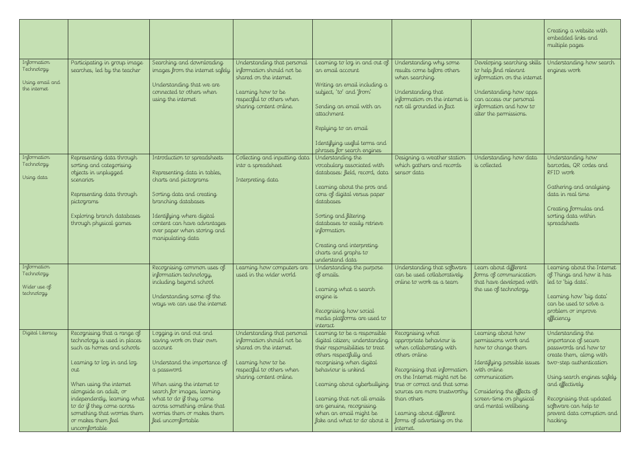|                                                              |                                                                                                                                                                                                                                                                                                                       |                                                                                                                                                                                                                                                                                         |                                                                                                                                                                   |                                                                                                                                                                                                                                                                                                                                             |                                                                                                                                                                                                                                                                                                                  |                                                                                                                                                                                                                   | Creating a website with<br>embedded links and<br>multiple pages                                                                                                                                                                                                         |
|--------------------------------------------------------------|-----------------------------------------------------------------------------------------------------------------------------------------------------------------------------------------------------------------------------------------------------------------------------------------------------------------------|-----------------------------------------------------------------------------------------------------------------------------------------------------------------------------------------------------------------------------------------------------------------------------------------|-------------------------------------------------------------------------------------------------------------------------------------------------------------------|---------------------------------------------------------------------------------------------------------------------------------------------------------------------------------------------------------------------------------------------------------------------------------------------------------------------------------------------|------------------------------------------------------------------------------------------------------------------------------------------------------------------------------------------------------------------------------------------------------------------------------------------------------------------|-------------------------------------------------------------------------------------------------------------------------------------------------------------------------------------------------------------------|-------------------------------------------------------------------------------------------------------------------------------------------------------------------------------------------------------------------------------------------------------------------------|
| Information<br>Technology<br>Using email and<br>the internet | Participating in group image<br>searches, led by the teacher                                                                                                                                                                                                                                                          | Searching and downloading<br>images from the internet safely<br>Understanding that we are<br>connected to others when<br>using the internet                                                                                                                                             | Understanding that personal<br>information should not be<br>shared on the internet.<br>Learning how to be<br>respectful to others when<br>sharing content online. | Learning to log in and out of<br>an email account<br>Writing an email including a<br>subject, 'to' and 'from'<br>Sending an email with an<br>attachment<br>Replying to an email<br>Identifying useful terms and                                                                                                                             | Understanding why some<br>results come before others<br>when searching<br>Understanding that<br>information on the internet is<br>not all grounded in fact                                                                                                                                                       | Developing searching skills<br>to help find relevant<br>information on the internet<br>Understanding how apps<br>can access our personal<br>information and how to<br>alter the permissions.                      | Understanding how search<br>engines work                                                                                                                                                                                                                                |
| Information<br>Technology<br>Using data                      | Representing data through<br>sorting and categorising<br>objects in unplugged<br>scenarios<br>Representing data through<br>pictograms<br>Exploring branch databases<br>through physical games                                                                                                                         | Introduction to spreadsheets<br>Representing data in tables,<br>charts and pictograms<br>Sorting data and creating<br>branching databases<br>Identifying where digital<br>content can have advantages<br>over paper when storing and<br>manipulating data                               | Collecting and inputting data<br>into a spreadsheet<br>Interpreting data                                                                                          | phrases for search engines<br>Understanding the<br>vocabulary associated with<br>databases: field, record, data<br>Learning about the pros and<br>cons of digital versus paper<br>databases<br>Sorting and filtering<br>databases to easily retrieve<br>information<br>Creating and interpreting<br>charts and graphs to<br>understand data | Designing a weather station<br>which gathers and records<br>sensor data                                                                                                                                                                                                                                          | Understanding how data<br>is collected                                                                                                                                                                            | Understanding how<br>barcodes, QR codes and<br>RFID work<br>Gathering and analysing<br>data in real time<br>Creating formulas and<br>sorting data within<br>spreadsheets                                                                                                |
| Information<br>Technology<br>Wider use of<br>technology      |                                                                                                                                                                                                                                                                                                                       | Recognising common uses of<br>information technology,<br>including beyond school<br>Understanding some of the<br>ways we can use the internet                                                                                                                                           | Learning how computers are<br>used in the wider world                                                                                                             | Understanding the purpose<br>of emails.<br>Learning what a search<br>engine is<br>Recognising how social<br>media platforms are used to<br>interact                                                                                                                                                                                         | Understanding that software<br>can be used collaboratively<br>online to work as a team                                                                                                                                                                                                                           | Learn about different<br>forms of communication<br>that have developed with<br>the use of technology.                                                                                                             | Learning about the Internet<br>of Things and how it has<br>led to 'big data'.<br>Learning how 'big data'<br>can be used to solve a<br>problem or improve<br>efficiency                                                                                                  |
| Digital Literacy                                             | Recognising that a range of<br>technology is used in places<br>such as homes and schools<br>Learning to log in and log<br>out<br>When using the internet<br>alongside an adult, or<br>independently, learning what<br>to do if they come across<br>something that worries them<br>or makes them feel<br>uncomfortable | Logging in and out and<br>saving work on their own<br>account<br>Understand the importance of<br>a password<br>When using the internet to<br>search for images, learning<br>what to do if they come<br>across something online that<br>worries them or makes them<br>feel uncomfortable | Understanding that personal<br>information should not be<br>shared on the internet.<br>Learning how to be<br>respectful to others when<br>sharing content online. | Learning to be a responsible<br>digital citizen; understanding<br>their responsibilities to treat<br>others respectfully and<br>recognising when digital<br>behaviour is unkind<br>Learning about cyberbullying<br>Learning that not all emails<br>are genuine, recognising<br>when an email might be<br>fake and what to do about it       | Recognising what<br>appropriate behaviour is<br>when collaborating with<br>others online<br>Recognising that information<br>on the Internet might not be<br>true or correct and that some<br>sources are more trustworthy<br>than others<br>Learning about different<br>forms of advertising on the<br>internet. | Learning about how<br>permissions work and<br>how to change them<br>I dentifying possible issues<br>with online<br>communication<br>Considering the effects of<br>screen-time on physical<br>and mental wellbeing | Understanding the<br>importance of secure<br>passwords and how to<br>create them, along with<br>two-step authentication<br>Using search engines safely<br>and effectively<br>Recognising that updated<br>software can help to<br>prevent data corruption and<br>hacking |